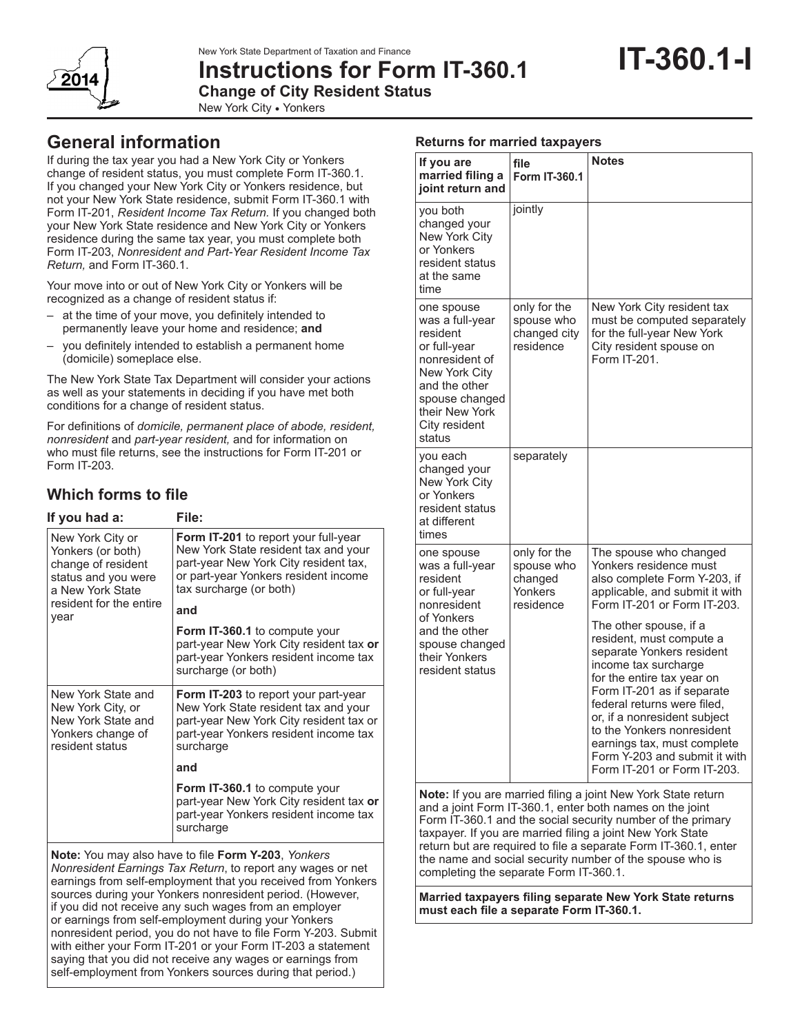# **Instructions for Form IT-360.1**



**Change of City Resident Status**

New York City **•** Yonkers

# **General information**

If during the tax year you had a New York City or Yonkers change of resident status, you must complete Form IT‑360.1. If you changed your New York City or Yonkers residence, but not your New York State residence, submit Form IT‑360.1 with Form IT‑201, *Resident Income Tax Return.* If you changed both your New York State residence and New York City or Yonkers residence during the same tax year, you must complete both Form IT‑203, *Nonresident and Part-Year Resident Income Tax Return,* and Form IT‑360.1.

Your move into or out of New York City or Yonkers will be recognized as a change of resident status if:

- at the time of your move, you definitely intended to permanently leave your home and residence; **and**
- you definitely intended to establish a permanent home (domicile) someplace else.

The New York State Tax Department will consider your actions as well as your statements in deciding if you have met both conditions for a change of resident status.

For definitions of *domicile, permanent place of abode, resident, nonresident* and *part-year resident,* and for information on who must file returns, see the instructions for Form IT-201 or Form IT-203.

# **Which forms to file**

| File:                                                                                                                                                                                           |
|-------------------------------------------------------------------------------------------------------------------------------------------------------------------------------------------------|
| <b>Form IT-201</b> to report your full-year<br>New York State resident tax and your<br>part-year New York City resident tax,<br>or part-year Yonkers resident income<br>tax surcharge (or both) |
| and                                                                                                                                                                                             |
| Form IT-360.1 to compute your<br>part-year New York City resident tax or<br>part-year Yonkers resident income tax<br>surcharge (or both)                                                        |
| <b>Form IT-203</b> to report your part-year<br>New York State resident tax and your<br>part-year New York City resident tax or<br>part-year Yonkers resident income tax<br>surcharge            |
| and                                                                                                                                                                                             |
| Form IT-360.1 to compute your<br>part-year New York City resident tax or<br>part-year Yonkers resident income tax<br>surcharge                                                                  |
|                                                                                                                                                                                                 |

**Note:** You may also have to file **Form Y-203**, *Yonkers Nonresident Earnings Tax Return*, to report any wages or net earnings from self-employment that you received from Yonkers sources during your Yonkers nonresident period. (However, if you did not receive any such wages from an employer or earnings from self-employment during your Yonkers nonresident period, you do not have to file Form Y-203. Submit with either your Form IT-201 or your Form IT-203 a statement saying that you did not receive any wages or earnings from self-employment from Yonkers sources during that period.)

| <b>Returns for married taxpayers</b>                                                                                                                                                |                                                               |                                                                                                                                                                                                                                                                                                                                                                                                                                                                                                                      |  |  |  |  |  |
|-------------------------------------------------------------------------------------------------------------------------------------------------------------------------------------|---------------------------------------------------------------|----------------------------------------------------------------------------------------------------------------------------------------------------------------------------------------------------------------------------------------------------------------------------------------------------------------------------------------------------------------------------------------------------------------------------------------------------------------------------------------------------------------------|--|--|--|--|--|
| If you are<br>married filing a<br>joint return and                                                                                                                                  | file<br>Form IT-360.1                                         | <b>Notes</b>                                                                                                                                                                                                                                                                                                                                                                                                                                                                                                         |  |  |  |  |  |
| you both<br>changed your<br><b>New York City</b><br>or Yonkers<br>resident status<br>at the same<br>time                                                                            | jointly                                                       |                                                                                                                                                                                                                                                                                                                                                                                                                                                                                                                      |  |  |  |  |  |
| one spouse<br>was a full-year<br>resident<br>or full-year<br>nonresident of<br><b>New York City</b><br>and the other<br>spouse changed<br>their New York<br>City resident<br>status | only for the<br>spouse who<br>changed city<br>residence       | New York City resident tax<br>must be computed separately<br>for the full-year New York<br>City resident spouse on<br>Form IT-201.                                                                                                                                                                                                                                                                                                                                                                                   |  |  |  |  |  |
| you each<br>changed your<br><b>New York City</b><br>or Yonkers<br>resident status<br>at different<br>times                                                                          | separately                                                    |                                                                                                                                                                                                                                                                                                                                                                                                                                                                                                                      |  |  |  |  |  |
| one spouse<br>was a full-year<br>resident<br>or full-year<br>nonresident<br>of Yonkers<br>and the other<br>spouse changed<br>their Yonkers<br>resident status                       | only for the<br>spouse who<br>changed<br>Yonkers<br>residence | The spouse who changed<br>Yonkers residence must<br>also complete Form Y-203, if<br>applicable, and submit it with<br>Form IT-201 or Form IT-203.<br>The other spouse, if a<br>resident, must compute a<br>separate Yonkers resident<br>income tax surcharge<br>for the entire tax year on<br>Form IT-201 as if separate<br>federal returns were filed,<br>or, if a nonresident subject<br>to the Yonkers nonresident<br>earnings tax, must complete<br>Form Y-203 and submit it with<br>Form IT-201 or Form IT-203. |  |  |  |  |  |
| $M = 4 - 15$                                                                                                                                                                        |                                                               | d filippi o joint Now York Ctoto rotu                                                                                                                                                                                                                                                                                                                                                                                                                                                                                |  |  |  |  |  |

**Note:** If you are married filing a joint New York State return and a joint Form IT-360.1, enter both names on the joint Form IT-360.1 and the social security number of the primary taxpayer. If you are married filing a joint New York State return but are required to file a separate Form IT-360.1, enter the name and social security number of the spouse who is completing the separate Form IT-360.1.

**Married taxpayers filing separate New York State returns must each file a separate Form IT-360.1.**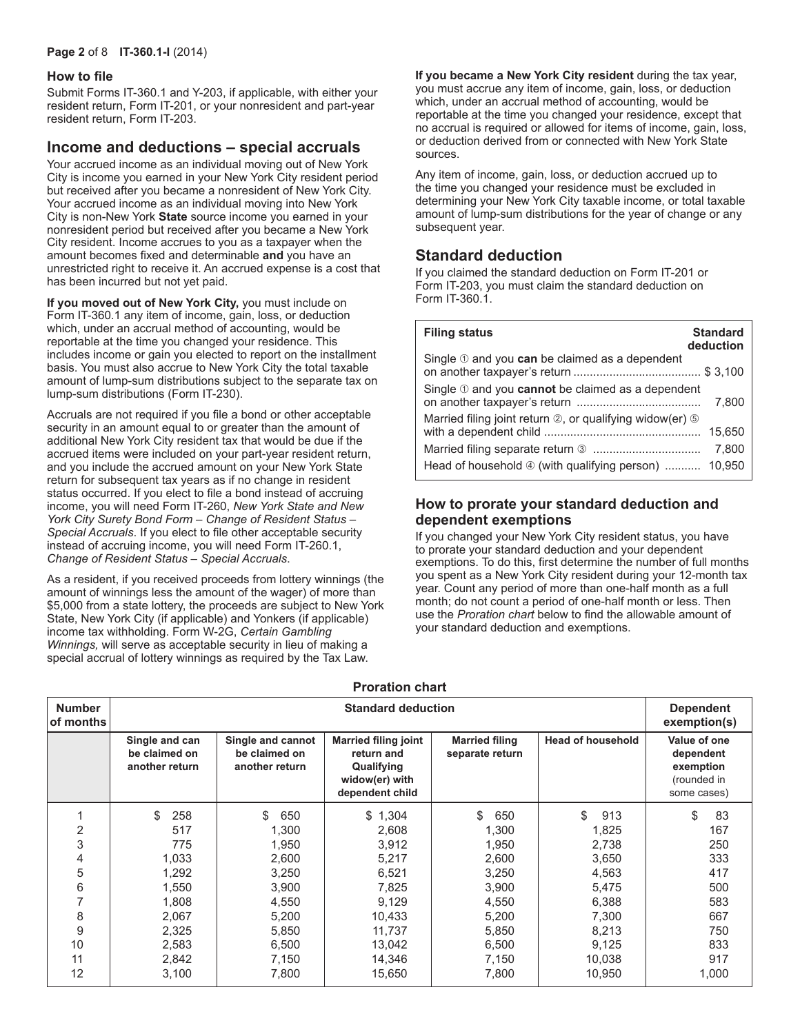#### **Page 2** of 8 **IT-360.1-I** (2014)

#### **How to file**

Submit Forms IT‑360.1 and Y‑203, if applicable, with either your resident return, Form IT‑201, or your nonresident and part-year resident return, Form IT‑203.

### **Income and deductions – special accruals**

Your accrued income as an individual moving out of New York City is income you earned in your New York City resident period but received after you became a nonresident of New York City. Your accrued income as an individual moving into New York City is non-New York **State** source income you earned in your nonresident period but received after you became a New York City resident. Income accrues to you as a taxpayer when the amount becomes fixed and determinable **and** you have an unrestricted right to receive it. An accrued expense is a cost that has been incurred but not yet paid.

**If you moved out of New York City,** you must include on Form IT‑360.1 any item of income, gain, loss, or deduction which, under an accrual method of accounting, would be reportable at the time you changed your residence. This includes income or gain you elected to report on the installment basis. You must also accrue to New York City the total taxable amount of lump-sum distributions subject to the separate tax on lump-sum distributions (Form IT-230).

Accruals are not required if you file a bond or other acceptable security in an amount equal to or greater than the amount of additional New York City resident tax that would be due if the accrued items were included on your part-year resident return, and you include the accrued amount on your New York State return for subsequent tax years as if no change in resident status occurred. If you elect to file a bond instead of accruing income, you will need Form IT-260, *New York State and New York City Surety Bond Form – Change of Resident Status – Special Accruals*. If you elect to file other acceptable security instead of accruing income, you will need Form IT-260.1, *Change of Resident Status – Special Accruals*.

As a resident, if you received proceeds from lottery winnings (the amount of winnings less the amount of the wager) of more than \$5,000 from a state lottery, the proceeds are subject to New York State, New York City (if applicable) and Yonkers (if applicable) income tax withholding. Form W‑2G, *Certain Gambling Winnings,* will serve as acceptable security in lieu of making a special accrual of lottery winnings as required by the Tax Law.

**If you became a New York City resident** during the tax year, you must accrue any item of income, gain, loss, or deduction which, under an accrual method of accounting, would be reportable at the time you changed your residence, except that no accrual is required or allowed for items of income, gain, loss, or deduction derived from or connected with New York State sources.

Any item of income, gain, loss, or deduction accrued up to the time you changed your residence must be excluded in determining your New York City taxable income, or total taxable amount of lump-sum distributions for the year of change or any subsequent year.

# **Standard deduction**

If you claimed the standard deduction on Form IT-201 or Form IT‑203, you must claim the standard deduction on Form IT‑360.1.

| <b>Filing status</b>                                                      | <b>Standard</b><br>deduction |
|---------------------------------------------------------------------------|------------------------------|
| Single $\mathcal D$ and you can be claimed as a dependent                 |                              |
| Single 10 and you cannot be claimed as a dependent                        | 7.800                        |
| Married filing joint return $\oslash$ , or qualifying widow(er) $\oslash$ | 15,650                       |
|                                                                           | 7,800                        |
| Head of household 4 (with qualifying person)  10,950                      |                              |

### **How to prorate your standard deduction and dependent exemptions**

If you changed your New York City resident status, you have to prorate your standard deduction and your dependent exemptions. To do this, first determine the number of full months you spent as a New York City resident during your 12-month tax year. Count any period of more than one-half month as a full month; do not count a period of one-half month or less. Then use the *Proration chart* below to find the allowable amount of your standard deduction and exemptions.

|                            | <b>Proration chart</b>                            |                                                      |                                                                                              |                                          |                          |                                                                      |  |  |  |  |
|----------------------------|---------------------------------------------------|------------------------------------------------------|----------------------------------------------------------------------------------------------|------------------------------------------|--------------------------|----------------------------------------------------------------------|--|--|--|--|
| <b>Number</b><br>of months |                                                   |                                                      | <b>Standard deduction</b>                                                                    |                                          |                          | <b>Dependent</b><br>exemption(s)                                     |  |  |  |  |
|                            | Single and can<br>be claimed on<br>another return | Single and cannot<br>be claimed on<br>another return | <b>Married filing joint</b><br>return and<br>Qualifying<br>widow(er) with<br>dependent child | <b>Married filing</b><br>separate return | <b>Head of household</b> | Value of one<br>dependent<br>exemption<br>(rounded in<br>some cases) |  |  |  |  |
|                            | \$<br>258                                         | \$<br>650                                            | \$1,304                                                                                      | \$<br>650                                | \$<br>913                | 83<br>\$                                                             |  |  |  |  |
| 2                          | 517                                               | 1,300                                                | 2,608                                                                                        | 1,300                                    | 1,825                    | 167                                                                  |  |  |  |  |
| 3                          | 775                                               | 1,950                                                | 3,912                                                                                        | 1,950                                    | 2,738                    | 250                                                                  |  |  |  |  |
| 4                          | 1,033                                             | 2,600                                                | 5,217                                                                                        | 2,600                                    | 3,650                    | 333                                                                  |  |  |  |  |
| 5                          | 1,292                                             | 3,250                                                | 6,521                                                                                        | 3,250                                    | 4,563                    | 417                                                                  |  |  |  |  |
| 6                          | 1,550                                             | 3,900                                                | 7,825                                                                                        | 3,900                                    | 5,475                    | 500                                                                  |  |  |  |  |
| 7                          | 1,808                                             | 4,550                                                | 9,129                                                                                        | 4,550                                    | 6,388                    | 583                                                                  |  |  |  |  |
| 8                          | 2,067                                             | 5,200                                                | 10,433                                                                                       | 5,200                                    | 7,300                    | 667                                                                  |  |  |  |  |
| 9                          | 2,325                                             | 5,850                                                | 11,737                                                                                       | 5,850                                    | 8,213                    | 750                                                                  |  |  |  |  |
| 10                         | 2,583                                             | 6,500                                                | 13,042                                                                                       | 6,500                                    | 9,125                    | 833                                                                  |  |  |  |  |
| 11                         | 2,842                                             | 7,150                                                | 14,346                                                                                       | 7,150                                    | 10,038                   | 917                                                                  |  |  |  |  |
| 12                         | 3,100                                             | 7,800                                                | 15,650                                                                                       | 7,800                                    | 10,950                   | 1,000                                                                |  |  |  |  |

# **Proration chart**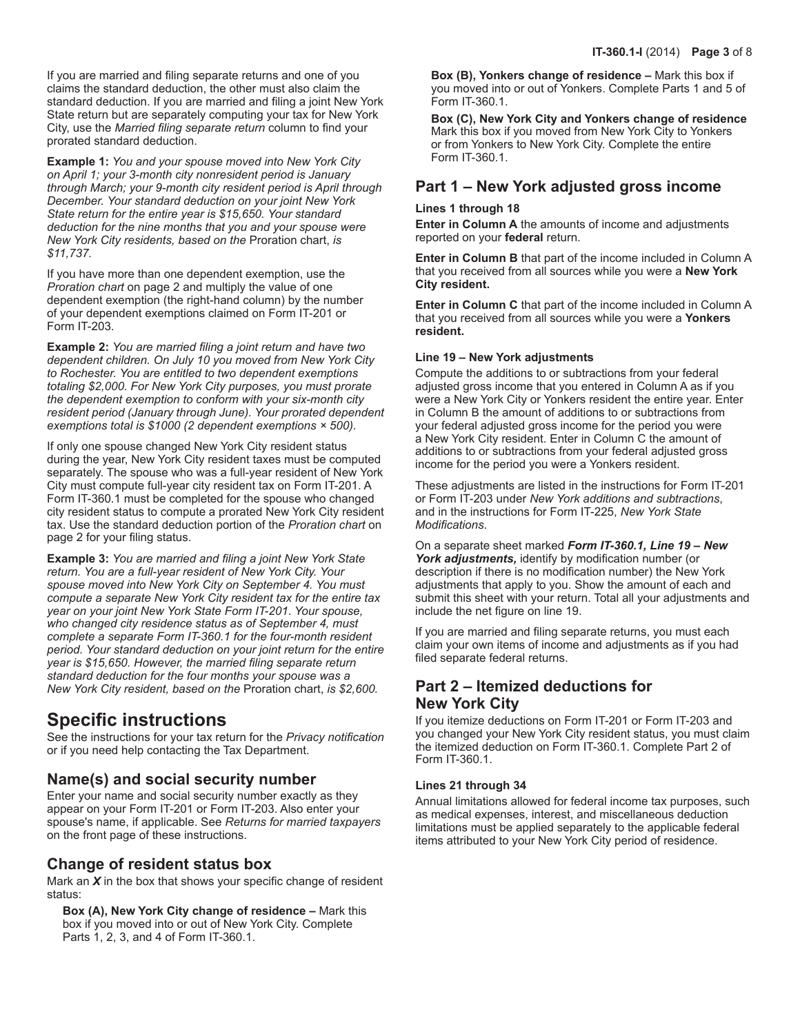If you are married and filing separate returns and one of you claims the standard deduction, the other must also claim the standard deduction. If you are married and filing a joint New York State return but are separately computing your tax for New York City, use the *Married filing separate return* column to find your prorated standard deduction.

**Example 1:** *You and your spouse moved into New York City on April 1; your 3-month city nonresident period is January through March; your 9-month city resident period is April through December. Your standard deduction on your joint New York State return for the entire year is \$15,650. Your standard deduction for the nine months that you and your spouse were New York City residents, based on the* Proration chart, *is \$11,737.*

If you have more than one dependent exemption, use the *Proration chart* on page 2 and multiply the value of one dependent exemption (the right-hand column) by the number of your dependent exemptions claimed on Form IT‑201 or Form IT‑203.

**Example 2:** *You are married filing a joint return and have two dependent children. On July 10 you moved from New York City to Rochester. You are entitled to two dependent exemptions totaling \$2,000. For New York City purposes, you must prorate the dependent exemption to conform with your six-month city resident period (January through June). Your prorated dependent exemptions total is \$1000 (2 dependent exemptions × 500).*

If only one spouse changed New York City resident status during the year, New York City resident taxes must be computed separately. The spouse who was a full-year resident of New York City must compute full‑year city resident tax on Form IT‑201. A Form IT‑360.1 must be completed for the spouse who changed city resident status to compute a prorated New York City resident tax. Use the standard deduction portion of the *Proration chart* on page 2 for your filing status.

**Example 3:** *You are married and filing a joint New York State return. You are a full-year resident of New York City. Your spouse moved into New York City on September 4. You must compute a separate New York City resident tax for the entire tax year on your joint New York State Form IT-201*. *Your spouse, who changed city residence status as of September 4, must complete a separate Form IT-360.1 for the four-month resident period. Your standard deduction on your joint return for the entire year is \$15,650. However, the married filing separate return standard deduction for the four months your spouse was a New York City resident, based on the* Proration chart, *is \$2,600.*

# **Specific instructions**

See the instructions for your tax return for the *Privacy notification* or if you need help contacting the Tax Department.

# **Name(s) and social security number**

Enter your name and social security number exactly as they appear on your Form IT‑201 or Form IT‑203. Also enter your spouse's name, if applicable. See *Returns for married taxpayers* on the front page of these instructions.

# **Change of resident status box**

Mark an *X* in the box that shows your specific change of resident status:

**Box (A), New York City change of residence –** Mark this box if you moved into or out of New York City. Complete Parts 1, 2, 3, and 4 of Form IT‑360.1.

**Box (B), Yonkers change of residence –** Mark this box if you moved into or out of Yonkers. Complete Parts 1 and 5 of Form IT‑360.1.

**Box (C), New York City and Yonkers change of residence**  Mark this box if you moved from New York City to Yonkers or from Yonkers to New York City. Complete the entire Form IT‑360.1.

# **Part 1 – New York adjusted gross income**

### **Lines 1 through 18**

**Enter in Column A** the amounts of income and adjustments reported on your **federal** return.

**Enter in Column B** that part of the income included in Column A that you received from all sources while you were a **New York City resident.**

**Enter in Column C** that part of the income included in Column A that you received from all sources while you were a **Yonkers resident.**

### **Line 19 – New York adjustments**

Compute the additions to or subtractions from your federal adjusted gross income that you entered in Column A as if you were a New York City or Yonkers resident the entire year. Enter in Column B the amount of additions to or subtractions from your federal adjusted gross income for the period you were a New York City resident. Enter in Column C the amount of additions to or subtractions from your federal adjusted gross income for the period you were a Yonkers resident.

These adjustments are listed in the instructions for Form IT‑201 or Form IT‑203 under *New York additions and subtractions*, and in the instructions for Form IT-225, *New York State Modifications*.

On a separate sheet marked *Form IT‑360.1, Line 19 – New York adjustments,* identify by modification number (or description if there is no modification number) the New York adjustments that apply to you. Show the amount of each and submit this sheet with your return. Total all your adjustments and include the net figure on line 19.

If you are married and filing separate returns, you must each claim your own items of income and adjustments as if you had filed separate federal returns.

# **Part 2 – Itemized deductions for New York City**

If you itemize deductions on Form IT‑201 or Form IT‑203 and you changed your New York City resident status, you must claim the itemized deduction on Form IT‑360.1. Complete Part 2 of Form IT‑360.1.

### **Lines 21 through 34**

Annual limitations allowed for federal income tax purposes, such as medical expenses, interest, and miscellaneous deduction limitations must be applied separately to the applicable federal items attributed to your New York City period of residence.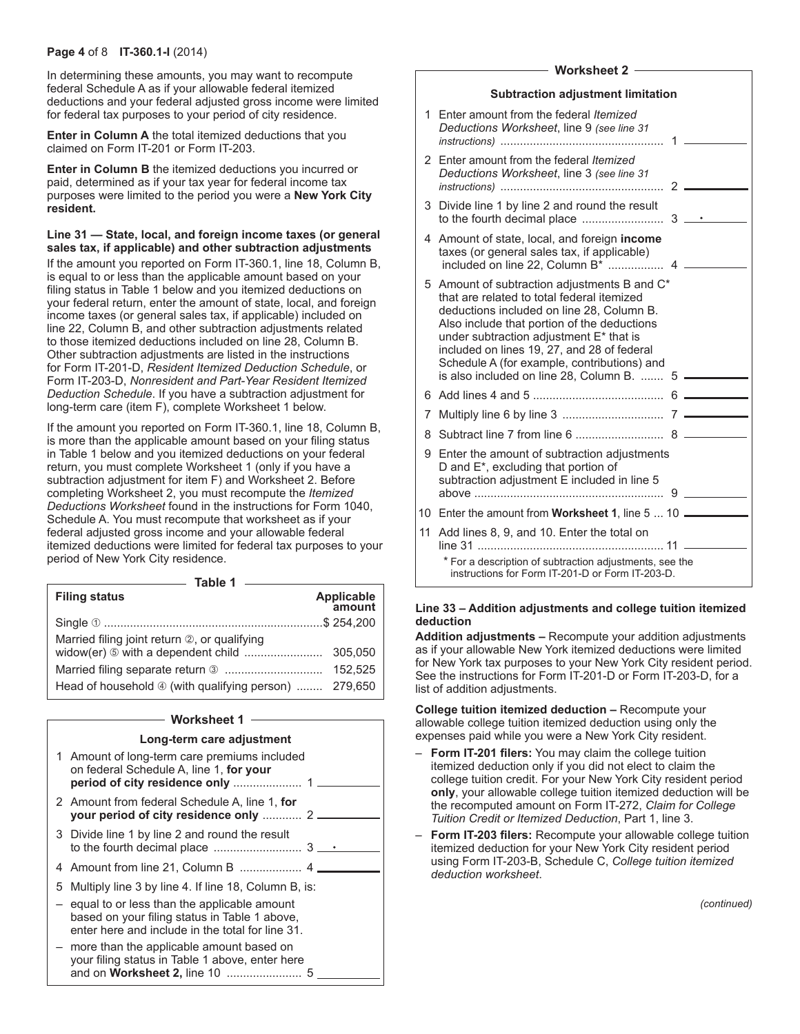#### **Page 4** of 8 **IT-360.1-I** (2014)

In determining these amounts, you may want to recompute federal Schedule A as if your allowable federal itemized deductions and your federal adjusted gross income were limited for federal tax purposes to your period of city residence.

**Enter in Column A** the total itemized deductions that you claimed on Form IT‑201 or Form IT‑203.

**Enter in Column B** the itemized deductions you incurred or paid, determined as if your tax year for federal income tax purposes were limited to the period you were a **New York City resident.**

**Line 31 — State, local, and foreign income taxes (or general sales tax, if applicable) and other subtraction adjustments**

If the amount you reported on Form IT‑360.1, line 18, Column B, is equal to or less than the applicable amount based on your filing status in Table 1 below and you itemized deductions on your federal return, enter the amount of state, local, and foreign income taxes (or general sales tax, if applicable) included on line 22, Column B, and other subtraction adjustments related to those itemized deductions included on line 28, Column B. Other subtraction adjustments are listed in the instructions for Form IT-201-D, *Resident Itemized Deduction Schedule*, or Form IT-203-D, *Nonresident and Part-Year Resident Itemized Deduction Schedule*. If you have a subtraction adjustment for long-term care (item F), complete Worksheet 1 below.

If the amount you reported on Form IT‑360.1, line 18, Column B, is more than the applicable amount based on your filing status in Table 1 below and you itemized deductions on your federal return, you must complete Worksheet 1 (only if you have a subtraction adjustment for item F) and Worksheet 2. Before completing Worksheet 2, you must recompute the *Itemized Deductions Worksheet* found in the instructions for Form 1040, Schedule A. You must recompute that worksheet as if your federal adjusted gross income and your allowable federal itemized deductions were limited for federal tax purposes to your period of New York City residence.

| <b>Filing status</b>                                  | Applicable<br>amount |
|-------------------------------------------------------|----------------------|
|                                                       |                      |
| Married filing joint return 2, or qualifying          |                      |
| widow(er) 5 with a dependent child                    | 305.050              |
|                                                       | 152.525              |
| Head of household 4 (with qualifying person)  279,650 |                      |

#### **Worksheet 1**

#### **Long-term care adjustment**

| on federal Schedule A, line 1, for your                                                                                                            |                                              |
|----------------------------------------------------------------------------------------------------------------------------------------------------|----------------------------------------------|
| 2 Amount from federal Schedule A, line 1, for<br>your period of city residence only  2                                                             |                                              |
| 3 Divide line 1 by line 2 and round the result                                                                                                     |                                              |
|                                                                                                                                                    |                                              |
| 5 Multiply line 3 by line 4. If line 18, Column B, is:                                                                                             |                                              |
| - equal to or less than the applicable amount<br>based on your filing status in Table 1 above,<br>enter here and include in the total for line 31. |                                              |
| more than the applicable amount based on<br>your filing status in Table 1 above, enter here                                                        |                                              |
|                                                                                                                                                    | 1 Amount of long-term care premiums included |

#### **Worksheet 2**

| Deductions Worksheet, line 9 (see line 31                                                                                                                                                                                                                                                                                 | 1                                                                                                                                                                                                                                              |                                                                                                                                                                                                                                                                                                                        |
|---------------------------------------------------------------------------------------------------------------------------------------------------------------------------------------------------------------------------------------------------------------------------------------------------------------------------|------------------------------------------------------------------------------------------------------------------------------------------------------------------------------------------------------------------------------------------------|------------------------------------------------------------------------------------------------------------------------------------------------------------------------------------------------------------------------------------------------------------------------------------------------------------------------|
| Deductions Worksheet, line 3 (see line 31                                                                                                                                                                                                                                                                                 |                                                                                                                                                                                                                                                |                                                                                                                                                                                                                                                                                                                        |
|                                                                                                                                                                                                                                                                                                                           |                                                                                                                                                                                                                                                | $3 -$                                                                                                                                                                                                                                                                                                                  |
| taxes (or general sales tax, if applicable)                                                                                                                                                                                                                                                                               |                                                                                                                                                                                                                                                |                                                                                                                                                                                                                                                                                                                        |
| that are related to total federal itemized<br>deductions included on line 28, Column B.<br>Also include that portion of the deductions<br>under subtraction adjustment E* that is<br>included on lines 19, 27, and 28 of federal<br>Schedule A (for example, contributions) and<br>is also included on line 28, Column B. |                                                                                                                                                                                                                                                |                                                                                                                                                                                                                                                                                                                        |
|                                                                                                                                                                                                                                                                                                                           | 6                                                                                                                                                                                                                                              |                                                                                                                                                                                                                                                                                                                        |
|                                                                                                                                                                                                                                                                                                                           |                                                                                                                                                                                                                                                |                                                                                                                                                                                                                                                                                                                        |
|                                                                                                                                                                                                                                                                                                                           |                                                                                                                                                                                                                                                |                                                                                                                                                                                                                                                                                                                        |
| D and E*, excluding that portion of<br>subtraction adjustment E included in line 5                                                                                                                                                                                                                                        |                                                                                                                                                                                                                                                |                                                                                                                                                                                                                                                                                                                        |
|                                                                                                                                                                                                                                                                                                                           |                                                                                                                                                                                                                                                |                                                                                                                                                                                                                                                                                                                        |
|                                                                                                                                                                                                                                                                                                                           |                                                                                                                                                                                                                                                |                                                                                                                                                                                                                                                                                                                        |
|                                                                                                                                                                                                                                                                                                                           |                                                                                                                                                                                                                                                |                                                                                                                                                                                                                                                                                                                        |
|                                                                                                                                                                                                                                                                                                                           | 1 Enter amount from the federal Itemized<br>2 Fnter amount from the federal Itemized<br>3 Divide line 1 by line 2 and round the result<br>4 Amount of state, local, and foreign <b>income</b><br>11 Add lines 8, 9, and 10. Enter the total on | <b>Subtraction adjustment limitation</b><br>2<br>5 Amount of subtraction adjustments B and C*<br>5<br>9 Enter the amount of subtraction adjustments<br>10 Enter the amount from Worksheet 1, line 5  10<br>* For a description of subtraction adjustments, see the<br>instructions for Form IT-201-D or Form IT-203-D. |

#### **Line 33 – Addition adjustments and college tuition itemized deduction**

**Addition adjustments –** Recompute your addition adjustments as if your allowable New York itemized deductions were limited for New York tax purposes to your New York City resident period. See the instructions for Form IT-201-D or Form IT-203-D, for a list of addition adjustments.

**College tuition itemized deduction –** Recompute your allowable college tuition itemized deduction using only the expenses paid while you were a New York City resident.

- **Form IT-201 filers:** You may claim the college tuition itemized deduction only if you did not elect to claim the college tuition credit. For your New York City resident period **only**, your allowable college tuition itemized deduction will be the recomputed amount on Form IT-272, *Claim for College Tuition Credit or Itemized Deduction*, Part 1, line 3.
- **Form IT-203 filers:** Recompute your allowable college tuition itemized deduction for your New York City resident period using Form IT-203-B, Schedule C, *College tuition itemized deduction worksheet*.

*(continued)*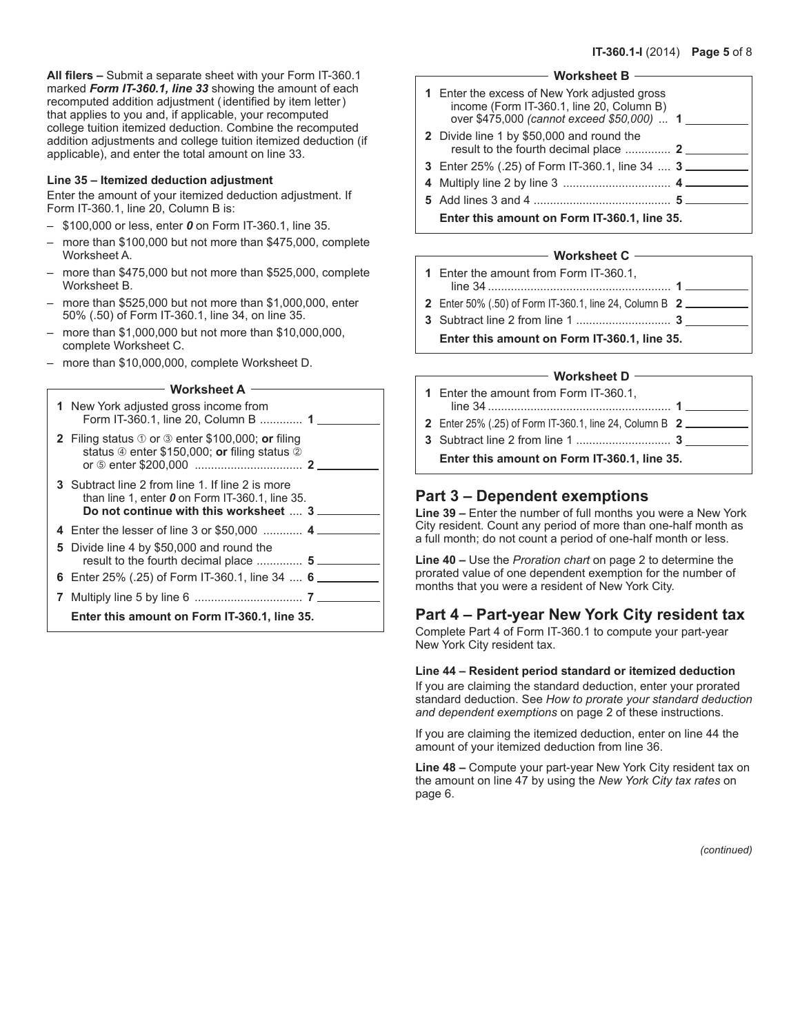**All filers –** Submit a separate sheet with your Form IT-360.1 marked *Form IT-360.1, line 33* showing the amount of each recomputed addition adjustment (identified by item letter) that applies to you and, if applicable, your recomputed college tuition itemized deduction. Combine the recomputed addition adjustments and college tuition itemized deduction (if applicable), and enter the total amount on line 33.

#### **Line 35 – Itemized deduction adjustment**

Enter the amount of your itemized deduction adjustment. If Form IT-360.1, line 20, Column B is:

- \$100,000 or less, enter *0* on Form IT-360.1, line 35.
- more than \$100,000 but not more than \$475,000, complete Worksheet A.
- more than \$475,000 but not more than \$525,000, complete Worksheet B.
- more than \$525,000 but not more than \$1,000,000, enter 50% (.50) of Form IT-360.1, line 34, on line 35.
- more than \$1,000,000 but not more than \$10,000,000, complete Worksheet C.
- more than \$10,000,000, complete Worksheet D.

#### **Worksheet A**

| 1 New York adjusted gross income from<br>Form IT-360.1, line 20, Column B  1                                                                                     |  |
|------------------------------------------------------------------------------------------------------------------------------------------------------------------|--|
| <b>2</b> Filing status $\textcircled{1}$ or $\textcircled{3}$ enter \$100,000; or filing<br>status $\circled{e}$ enter \$150,000; or filing status $\circled{e}$ |  |
| 3 Subtract line 2 from line 1. If line 2 is more<br>than line 1, enter $0$ on Form IT-360.1, line 35.<br>Do not continue with this worksheet  3                  |  |
| 4 Enter the lesser of line 3 or \$50,000  4                                                                                                                      |  |
| 5 Divide line 4 by \$50,000 and round the<br>result to the fourth decimal place  5                                                                               |  |
| 6 Enter 25% (.25) of Form IT-360.1, line 34 , 6                                                                                                                  |  |
|                                                                                                                                                                  |  |
| Enter this amount on Form IT-360.1, line 35.                                                                                                                     |  |

#### **Worksheet B**

| 1 Enter the excess of New York adjusted gross<br>income (Form IT-360.1, line 20, Column B)<br>over \$475,000 (cannot exceed \$50,000)  1 |  |
|------------------------------------------------------------------------------------------------------------------------------------------|--|
| 2 Divide line 1 by \$50,000 and round the<br>result to the fourth decimal place  2                                                       |  |
| 3 Enter 25% (.25) of Form IT-360.1, line 34  3                                                                                           |  |
|                                                                                                                                          |  |
|                                                                                                                                          |  |
| Enter this amount on Form IT-360.1, line 35.                                                                                             |  |

#### **Worksheet C**

| 1 Enter the amount from Form IT-360.1,<br>$\mathbf 1$          |
|----------------------------------------------------------------|
| <b>2</b> Enter 50% (.50) of Form IT-360.1, line 24, Column B 2 |
|                                                                |
| Enter this amount on Form IT-360.1, line 35.                   |

#### **Worksheet D**

| 1 Enter the amount from Form IT-360.1,                         |
|----------------------------------------------------------------|
| <b>2</b> Enter 25% (.25) of Form IT-360.1, line 24, Column B 2 |
|                                                                |
| Enter this amount on Form IT-360.1, line 35.                   |

## **Part 3 – Dependent exemptions**

**Line 39 –** Enter the number of full months you were a New York City resident. Count any period of more than one-half month as a full month; do not count a period of one-half month or less.

**Line 40 –** Use the *Proration chart* on page 2 to determine the prorated value of one dependent exemption for the number of months that you were a resident of New York City.

# **Part 4 – Part-year New York City resident tax**

Complete Part 4 of Form IT‑360.1 to compute your part‑year New York City resident tax.

#### **Line 44 – Resident period standard or itemized deduction**

If you are claiming the standard deduction, enter your prorated standard deduction. See *How to prorate your standard deduction and dependent exemptions* on page 2 of these instructions.

If you are claiming the itemized deduction, enter on line 44 the amount of your itemized deduction from line 36.

**Line 48 –** Compute your part-year New York City resident tax on the amount on line 47 by using the *New York City tax rates* on page 6.

*(continued)*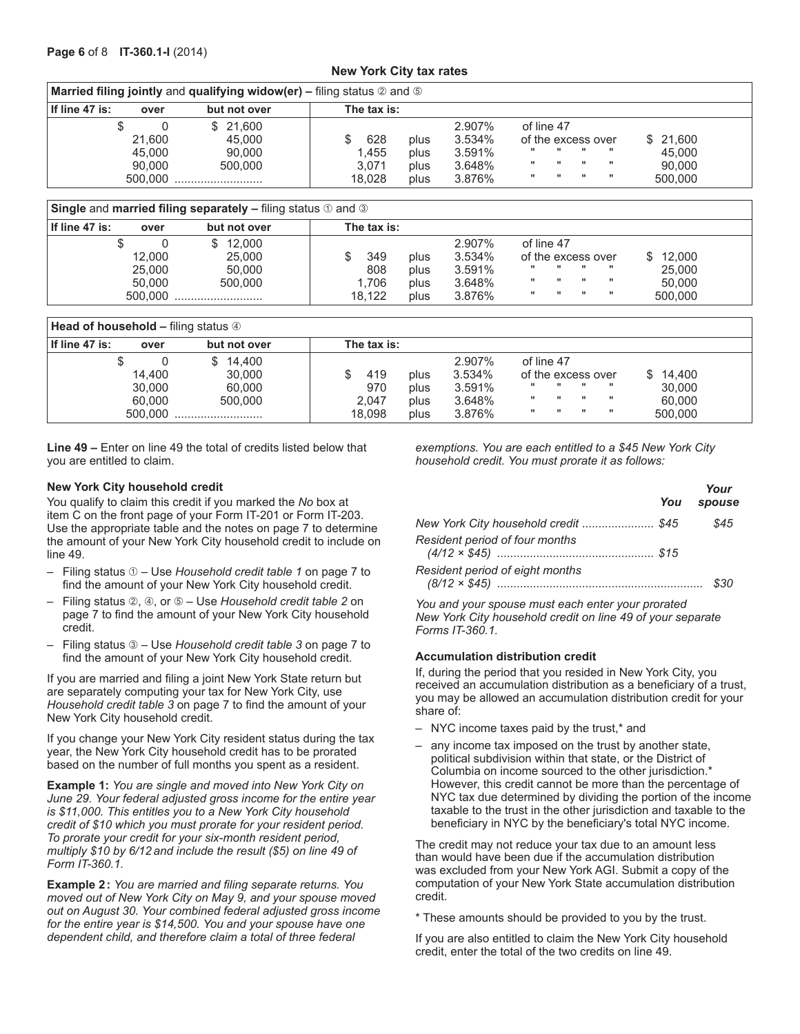#### **New York City tax rates**

| <b>Married filing jointly and qualifying widow(er) – filing status <math>\oslash</math> and <math>\odot</math></b> |                   |                    |             |      |                  |                                  |                  |                              |                              |          |
|--------------------------------------------------------------------------------------------------------------------|-------------------|--------------------|-------------|------|------------------|----------------------------------|------------------|------------------------------|------------------------------|----------|
| If line 47 is:                                                                                                     | over              | but not over       | The tax is: |      |                  |                                  |                  |                              |                              |          |
|                                                                                                                    | 21.600            | \$21.600<br>45.000 | 628         | plus | 2.907%<br>3.534% | of line 47<br>of the excess over |                  |                              |                              | \$21,600 |
|                                                                                                                    | 45.000            | 90,000             | 1.455       | plus | 3.591%           |                                  |                  | $\blacksquare$               | .                            | 45,000   |
|                                                                                                                    | 90.000<br>500,000 | 500.000            | 3.071       | plus | 3.648%           | $\mathbf{H}$                     | <br>$\mathbf{H}$ | $\mathbf{H}$<br>$\mathbf{H}$ | $\mathbf{H}$<br>$\mathbf{H}$ | 90.000   |
|                                                                                                                    |                   |                    | 18.028      | plus | 3.876%           |                                  |                  |                              |                              | 500.000  |

**Single and married filing separately –** filing status  $\odot$  and  $\odot$ 

|                  | -                    |             |      |                  |                                  |                  |              |          |
|------------------|----------------------|-------------|------|------------------|----------------------------------|------------------|--------------|----------|
| l If line 47 is: | but not over<br>over | The tax is: |      |                  |                                  |                  |              |          |
| 12.000           | \$12.000<br>25,000   | 349         | plus | 2.907%<br>3.534% | of line 47<br>of the excess over |                  |              | \$12.000 |
| 25,000           | 50.000               | 808         | plus | 3.591%           |                                  | <br>$\mathbf{H}$ |              | 25,000   |
| 50.000           | 500.000              | 1.706       | plus | 3.648%           |                                  | $\mathbf{H}$     | $\mathbf{H}$ | 50.000   |
| 500.000          |                      | 18.122      | plus | 3.876%           |                                  | $\mathbf{H}$     | $\mathbf{H}$ | 500,000  |

| <b>Head of household – filing status 4</b> |                                             |                                                                                                                                                                                                                                                        |  |  |  |  |  |  |  |  |
|--------------------------------------------|---------------------------------------------|--------------------------------------------------------------------------------------------------------------------------------------------------------------------------------------------------------------------------------------------------------|--|--|--|--|--|--|--|--|
| l If line 47 is:<br>over                   | but not over                                | The tax is:                                                                                                                                                                                                                                            |  |  |  |  |  |  |  |  |
| 14.400<br>30,000<br>60.000<br>500.000      | \$14,400<br>30,000<br>60,000<br>500,000<br> | 2.907%<br>of line 47<br>3.534%<br>\$14,400<br>419<br>of the excess over<br>plus<br><br><br>3.591%<br>30,000<br>970<br>plus<br><br><br>$\mathbf{H}$<br>3.648%<br>60.000<br>2.047<br>plus<br><br>$\mathbf{H}$<br><br>500.000<br>18.098<br>3.876%<br>plus |  |  |  |  |  |  |  |  |

**Line 49 –** Enter on line 49 the total of credits listed below that you are entitled to claim.

#### **New York City household credit**

You qualify to claim this credit if you marked the *No* box at item C on the front page of your Form IT‑201 or Form IT‑203. Use the appropriate table and the notes on page 7 to determine the amount of your New York City household credit to include on line 49.

- Filing status Use *Household credit table 1* on page 7 to find the amount of your New York City household credit.
- Filing status , , or Use *Household credit table 2* on page 7 to find the amount of your New York City household credit.
- Filing status Use *Household credit table 3* on page 7 to find the amount of your New York City household credit.

If you are married and filing a joint New York State return but are separately computing your tax for New York City, use *Household credit table 3* on page 7 to find the amount of your New York City household credit.

If you change your New York City resident status during the tax year, the New York City household credit has to be prorated based on the number of full months you spent as a resident.

**Example 1:** *You are single and moved into New York City on June 29. Your federal adjusted gross income for the entire year is \$11,000. This entitles you to a New York City household credit of \$10 which you must prorate for your resident period. To prorate your credit for your six-month resident period, multiply \$10 by 6/12 and include the result (\$5) on line 49 of Form IT-360.1.*

**Example 2:** *You are married and filing separate returns. You moved out of New York City on May 9, and your spouse moved out on August 30. Your combined federal adjusted gross income for the entire year is \$14,500. You and your spouse have one dependent child, and therefore claim a total of three federal* 

*exemptions. You are each entitled to a \$45 New York City household credit. You must prorate it as follows:*

|                                      | You | Your<br>spouse |
|--------------------------------------|-----|----------------|
| New York City household credit  \$45 |     | \$45           |
| Resident period of four months       |     |                |
| Resident period of eight months      |     | \$30           |

*You and your spouse must each enter your prorated New York City household credit on line 49 of your separate Forms IT-360.1.*

#### **Accumulation distribution credit**

If, during the period that you resided in New York City, you received an accumulation distribution as a beneficiary of a trust, you may be allowed an accumulation distribution credit for your share of:

- NYC income taxes paid by the trust,\* and
- any income tax imposed on the trust by another state, political subdivision within that state, or the District of Columbia on income sourced to the other jurisdiction.\* However, this credit cannot be more than the percentage of NYC tax due determined by dividing the portion of the income taxable to the trust in the other jurisdiction and taxable to the beneficiary in NYC by the beneficiary's total NYC income.

The credit may not reduce your tax due to an amount less than would have been due if the accumulation distribution was excluded from your New York AGI. Submit a copy of the computation of your New York State accumulation distribution credit.

\* These amounts should be provided to you by the trust.

If you are also entitled to claim the New York City household credit, enter the total of the two credits on line 49.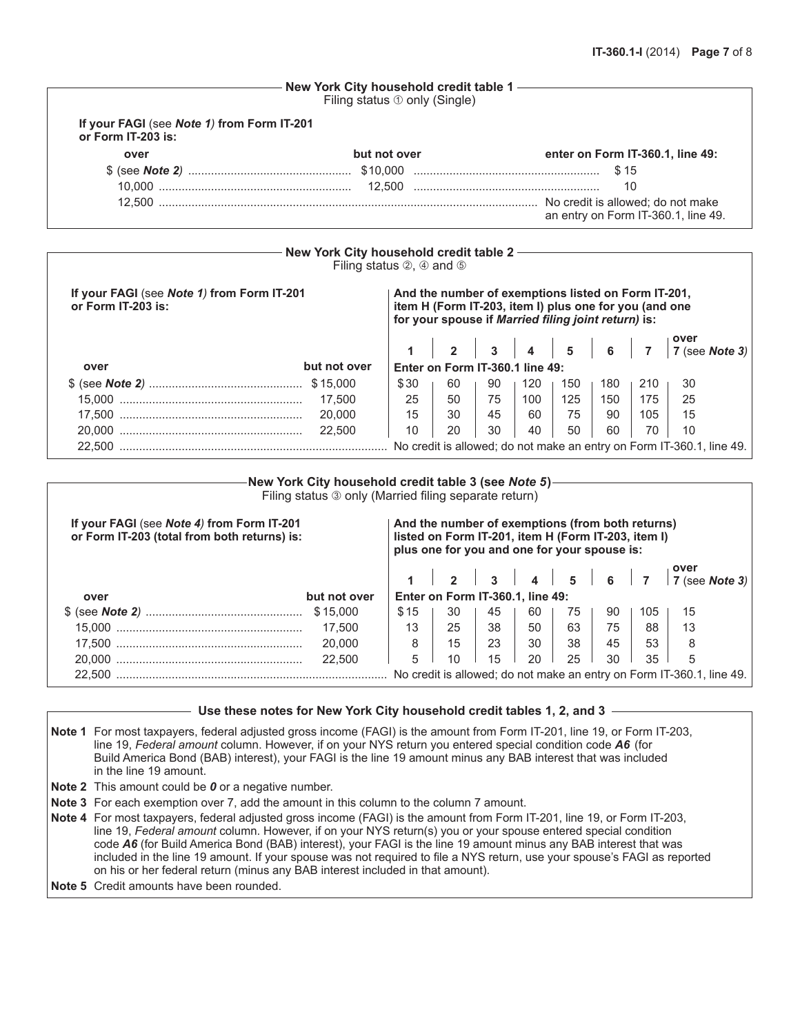|                                                                  | New York City household credit table 1<br>Filing status 10 only (Single) |                                                                          |
|------------------------------------------------------------------|--------------------------------------------------------------------------|--------------------------------------------------------------------------|
| If your FAGI (see Note 1) from Form IT-201<br>or Form IT-203 is: |                                                                          |                                                                          |
| over                                                             | but not over                                                             | enter on Form IT-360.1, line 49:                                         |
|                                                                  |                                                                          | \$15                                                                     |
|                                                                  |                                                                          | 10                                                                       |
| 12.500                                                           |                                                                          | No credit is allowed; do not make<br>an entry on Form IT-360.1, line 49. |

|                                                                  | New York City household credit table 2 -<br>Filing status $\oslash$ , $\oslash$ and $\oslash$ |      |                                                                                                                                                                      |    |     |     |     |     |                                                                       |  |
|------------------------------------------------------------------|-----------------------------------------------------------------------------------------------|------|----------------------------------------------------------------------------------------------------------------------------------------------------------------------|----|-----|-----|-----|-----|-----------------------------------------------------------------------|--|
| If your FAGI (see Note 1) from Form IT-201<br>or Form IT-203 is: |                                                                                               |      | And the number of exemptions listed on Form IT-201,<br>item H (Form IT-203, item I) plus one for you (and one<br>for your spouse if Married filing joint return) is: |    |     |     |     |     |                                                                       |  |
|                                                                  |                                                                                               |      |                                                                                                                                                                      |    |     |     |     |     | 1 2 3 4 5 6 7 7 (see Note 3)                                          |  |
| over                                                             | but not over                                                                                  |      | Enter on Form IT-360.1 line 49:                                                                                                                                      |    |     |     |     |     |                                                                       |  |
|                                                                  |                                                                                               | \$30 | 60                                                                                                                                                                   | 90 | 120 | 150 | 180 | 210 | 30                                                                    |  |
|                                                                  | 17.500                                                                                        | 25   | 50                                                                                                                                                                   | 75 | 100 | 125 | 150 | 175 | 25                                                                    |  |
|                                                                  | 20,000                                                                                        | 15   | 30                                                                                                                                                                   | 45 | 60  | 75  | 90  | 105 | 15                                                                    |  |
|                                                                  | 22,500                                                                                        | 10   | 20                                                                                                                                                                   | 30 | 40  | 50  | 60  | 70  | 10                                                                    |  |
| 22.500                                                           |                                                                                               |      |                                                                                                                                                                      |    |     |     |     |     | No credit is allowed; do not make an entry on Form IT-360.1, line 49. |  |

|                                                                                                                                                                                                                                                       | -New York City household credit table 3 (see <i>Not</i> e 5)-<br>Filing status 3 only (Married filing separate return) |      |  |    |                                  |  |    |    |    |     |                                       |
|-------------------------------------------------------------------------------------------------------------------------------------------------------------------------------------------------------------------------------------------------------|------------------------------------------------------------------------------------------------------------------------|------|--|----|----------------------------------|--|----|----|----|-----|---------------------------------------|
| If your FAGI (see Note 4) from Form IT-201<br>And the number of exemptions (from both returns)<br>or Form IT-203 (total from both returns) is:<br>listed on Form IT-201, item H (Form IT-203, item I)<br>plus one for you and one for your spouse is: |                                                                                                                        |      |  |    |                                  |  |    |    |    |     |                                       |
|                                                                                                                                                                                                                                                       |                                                                                                                        |      |  |    |                                  |  |    |    |    |     | 1 2 3 4 5 6 7 $7^{over}$ (see Note 3) |
| over                                                                                                                                                                                                                                                  | but not over                                                                                                           |      |  |    | Enter on Form IT-360.1, line 49: |  |    |    |    |     |                                       |
|                                                                                                                                                                                                                                                       | \$15,000                                                                                                               | \$15 |  | 30 | 45                               |  | 60 | 75 | 90 | 105 | 15                                    |
|                                                                                                                                                                                                                                                       | 17.500                                                                                                                 | 13   |  | 25 | 38                               |  | 50 | 63 | 75 | 88  | 13                                    |
|                                                                                                                                                                                                                                                       | 20,000                                                                                                                 | 8    |  | 15 | 23                               |  | 30 | 38 | 45 | 53  | 8                                     |
|                                                                                                                                                                                                                                                       | 22,500                                                                                                                 | 5    |  | 10 | 15                               |  | 20 | 25 | 30 | 35  | 5                                     |
| 22,500<br>No credit is allowed; do not make an entry on Form IT-360.1, line 49.                                                                                                                                                                       |                                                                                                                        |      |  |    |                                  |  |    |    |    |     |                                       |

**Use these notes for New York City household credit tables 1, 2, and 3**

**Note 1** For most taxpayers, federal adjusted gross income (FAGI) is the amount from Form IT-201, line 19, or Form IT-203, line 19, *Federal amount* column. However, if on your NYS return you entered special condition code *A6* (for Build America Bond (BAB) interest), your FAGI is the line 19 amount minus any BAB interest that was included in the line 19 amount.

**Note 2** This amount could be *0* or a negative number.

**Note 3** For each exemption over 7, add the amount in this column to the column 7 amount.

- **Note 4** For most taxpayers, federal adjusted gross income (FAGI) is the amount from Form IT-201, line 19, or Form IT-203, line 19, *Federal amount* column. However, if on your NYS return(s) you or your spouse entered special condition code *A6* (for Build America Bond (BAB) interest), your FAGI is the line 19 amount minus any BAB interest that was included in the line 19 amount. If your spouse was not required to file a NYS return, use your spouse's FAGI as reported on his or her federal return (minus any BAB interest included in that amount).
- **Note 5** Credit amounts have been rounded.